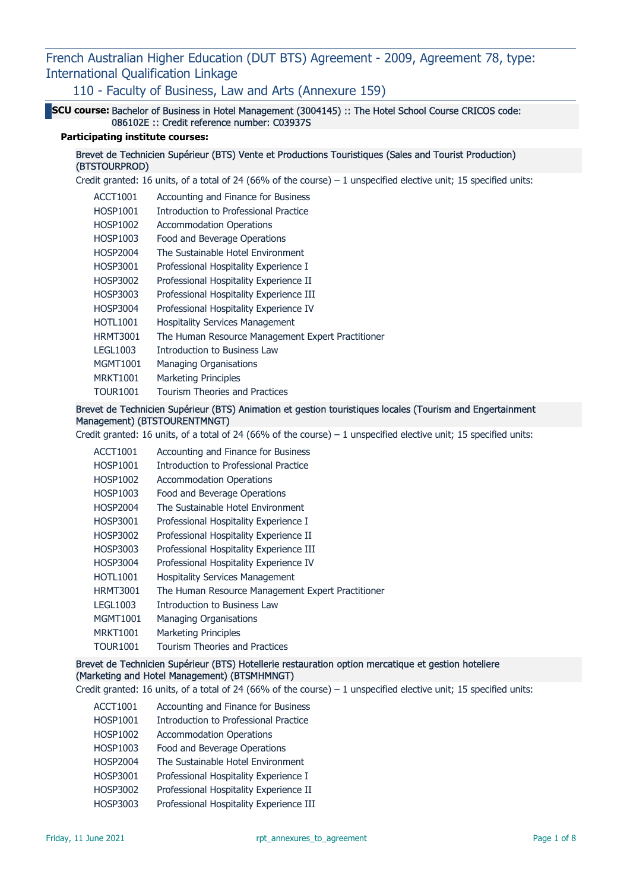110 - Faculty of Business, Law and Arts (Annexure 159)

SCU course: Bachelor of Business in Hotel Management (3004145) :: The Hotel School Course CRICOS code: 086102E :: Credit reference number: C03937S

#### Participating institute courses:

Brevet de Technicien Supérieur (BTS) Vente et Productions Touristiques (Sales and Tourist Production) (BTSTOURPROD)

Credit granted: 16 units, of a total of 24 (66% of the course) – 1 unspecified elective unit; 15 specified units:

- ACCT1001 Accounting and Finance for Business
- HOSP1001 Introduction to Professional Practice
- HOSP1002 Accommodation Operations
- HOSP1003 Food and Beverage Operations
- HOSP2004 The Sustainable Hotel Environment
- HOSP3001 Professional Hospitality Experience I
- HOSP3002 Professional Hospitality Experience II
- HOSP3003 Professional Hospitality Experience III
- HOSP3004 Professional Hospitality Experience IV
- HOTL1001 Hospitality Services Management
- HRMT3001 The Human Resource Management Expert Practitioner
- LEGL1003 Introduction to Business Law
- MGMT1001 Managing Organisations
- MRKT1001 Marketing Principles
- TOUR1001 Tourism Theories and Practices

## Brevet de Technicien Supérieur (BTS) Animation et gestion touristiques locales (Tourism and Engertainment Management) (BTSTOURENTMNGT)

Credit granted: 16 units, of a total of 24 (66% of the course) – 1 unspecified elective unit; 15 specified units:

- ACCT1001 Accounting and Finance for Business
- HOSP1001 Introduction to Professional Practice
- HOSP1002 Accommodation Operations
- HOSP1003 Food and Beverage Operations
- HOSP2004 The Sustainable Hotel Environment
- HOSP3001 Professional Hospitality Experience I
- HOSP3002 Professional Hospitality Experience II
- HOSP3003 Professional Hospitality Experience III
- HOSP3004 Professional Hospitality Experience IV
- HOTL1001 Hospitality Services Management
- HRMT3001 The Human Resource Management Expert Practitioner
- LEGL1003 Introduction to Business Law
- MGMT1001 Managing Organisations
- MRKT1001 Marketing Principles
- TOUR1001 Tourism Theories and Practices

## Brevet de Technicien Supérieur (BTS) Hotellerie restauration option mercatique et gestion hoteliere (Marketing and Hotel Management) (BTSMHMNGT)

Credit granted: 16 units, of a total of 24 (66% of the course) – 1 unspecified elective unit; 15 specified units:

- ACCT1001 Accounting and Finance for Business
- HOSP1001 Introduction to Professional Practice
- HOSP1002 Accommodation Operations
- HOSP1003 Food and Beverage Operations
- HOSP2004 The Sustainable Hotel Environment
- HOSP3001 Professional Hospitality Experience I
- HOSP3002 Professional Hospitality Experience II
- HOSP3003 Professional Hospitality Experience III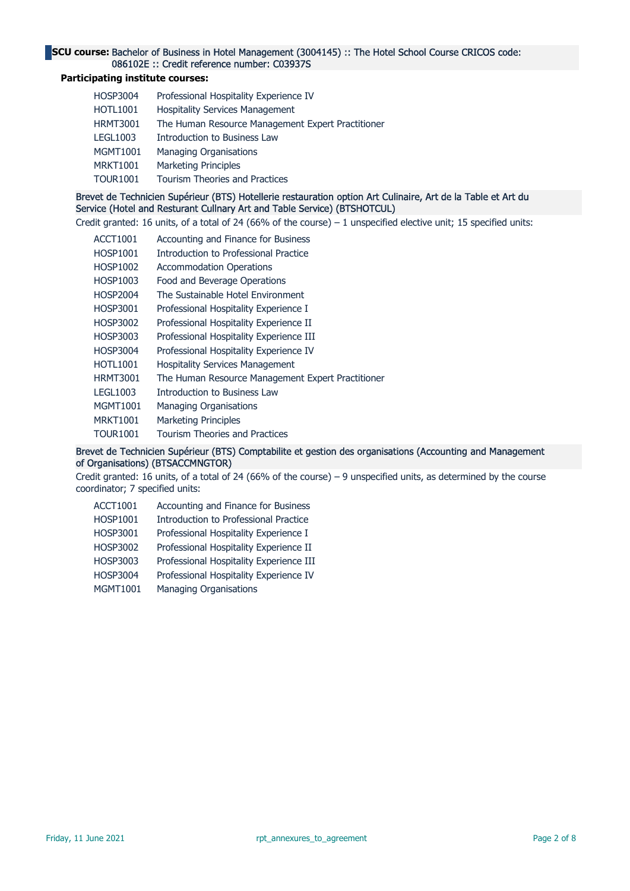## SCU course: Bachelor of Business in Hotel Management (3004145) :: The Hotel School Course CRICOS code: 086102E :: Credit reference number: C03937S

## Participating institute courses:

| <b>HOSP3004</b> | Professional Hospitality Experience IV            |
|-----------------|---------------------------------------------------|
| <b>HOTL1001</b> | <b>Hospitality Services Management</b>            |
| <b>HRMT3001</b> | The Human Resource Management Expert Practitioner |
| <b>LEGL1003</b> | Introduction to Business Law                      |
| <b>MGMT1001</b> | <b>Managing Organisations</b>                     |
| <b>MRKT1001</b> | <b>Marketing Principles</b>                       |
| <b>TOUR1001</b> | <b>Tourism Theories and Practices</b>             |

# Brevet de Technicien Supérieur (BTS) Hotellerie restauration option Art Culinaire, Art de la Table et Art du Service (Hotel and Resturant Cullnary Art and Table Service) (BTSHOTCUL)

Credit granted: 16 units, of a total of 24 (66% of the course) – 1 unspecified elective unit; 15 specified units:

- ACCT1001 Accounting and Finance for Business
- HOSP1001 Introduction to Professional Practice
- HOSP1002 Accommodation Operations
- HOSP1003 Food and Beverage Operations
- HOSP2004 The Sustainable Hotel Environment
- HOSP3001 Professional Hospitality Experience I
- HOSP3002 Professional Hospitality Experience II
- HOSP3003 Professional Hospitality Experience III
- HOSP3004 Professional Hospitality Experience IV
- HOTL1001 Hospitality Services Management
- HRMT3001 The Human Resource Management Expert Practitioner
- LEGL1003 Introduction to Business Law
- MGMT1001 Managing Organisations
- MRKT1001 Marketing Principles
- TOUR1001 Tourism Theories and Practices

## Brevet de Technicien Supérieur (BTS) Comptabilite et gestion des organisations (Accounting and Management of Organisations) (BTSACCMNGTOR)

Credit granted: 16 units, of a total of 24 (66% of the course) – 9 unspecified units, as determined by the course coordinator; 7 specified units:

- ACCT1001 Accounting and Finance for Business
- HOSP1001 Introduction to Professional Practice
- HOSP3001 Professional Hospitality Experience I
- HOSP3002 Professional Hospitality Experience II
- HOSP3003 Professional Hospitality Experience III
- HOSP3004 Professional Hospitality Experience IV
- MGMT1001 Managing Organisations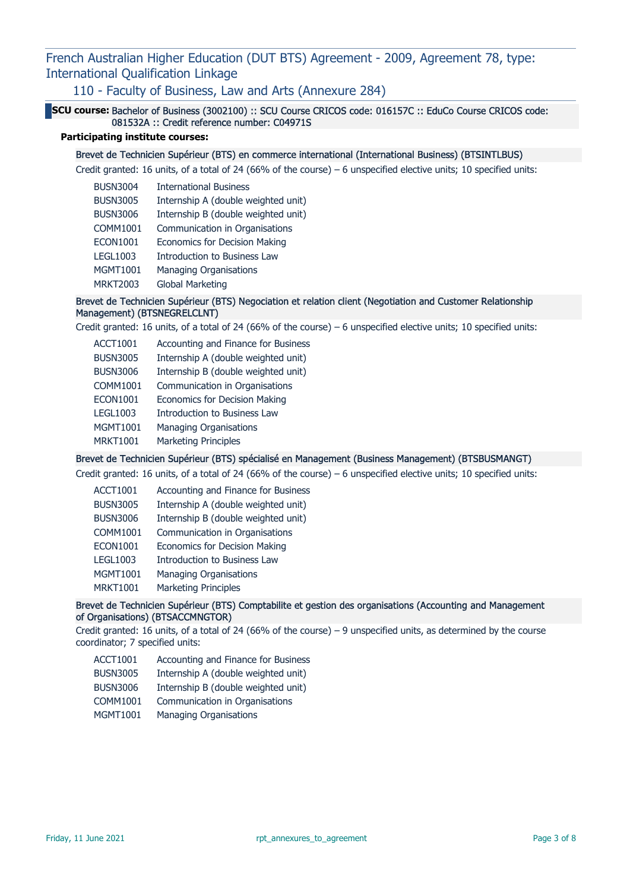110 - Faculty of Business, Law and Arts (Annexure 284)

SCU course: Bachelor of Business (3002100) :: SCU Course CRICOS code: 016157C :: EduCo Course CRICOS code: 081532A :: Credit reference number: C04971S

# Participating institute courses:

#### Brevet de Technicien Supérieur (BTS) en commerce international (International Business) (BTSINTLBUS)

Credit granted: 16 units, of a total of 24 (66% of the course) – 6 unspecified elective units; 10 specified units:

| <b>BUSN3004</b> | <b>International Business</b>        |
|-----------------|--------------------------------------|
| <b>BUSN3005</b> | Internship A (double weighted unit)  |
| <b>BUSN3006</b> | Internship B (double weighted unit)  |
| <b>COMM1001</b> | Communication in Organisations       |
| <b>ECON1001</b> | <b>Economics for Decision Making</b> |
| <b>LEGL1003</b> | <b>Introduction to Business Law</b>  |
| <b>MGMT1001</b> | <b>Managing Organisations</b>        |
| <b>MRKT2003</b> | Global Marketing                     |
|                 |                                      |

# Brevet de Technicien Supérieur (BTS) Negociation et relation client (Negotiation and Customer Relationship Management) (BTSNEGRELCLNT)

Credit granted: 16 units, of a total of 24 (66% of the course) – 6 unspecified elective units; 10 specified units:

ACCT1001 Accounting and Finance for Business BUSN3005 Internship A (double weighted unit) BUSN3006 Internship B (double weighted unit) COMM1001 Communication in Organisations ECON1001 Economics for Decision Making LEGL1003 Introduction to Business Law MGMT1001 Managing Organisations MRKT1001 Marketing Principles

#### Brevet de Technicien Supérieur (BTS) spécialisé en Management (Business Management) (BTSBUSMANGT)

Credit granted: 16 units, of a total of 24 (66% of the course) – 6 unspecified elective units; 10 specified units:

- ACCT1001 Accounting and Finance for Business
- BUSN3005 Internship A (double weighted unit)
- BUSN3006 Internship B (double weighted unit)
- COMM1001 Communication in Organisations
- ECON1001 Economics for Decision Making
- LEGL1003 Introduction to Business Law
- MGMT1001 Managing Organisations
- MRKT1001 Marketing Principles

# Brevet de Technicien Supérieur (BTS) Comptabilite et gestion des organisations (Accounting and Management of Organisations) (BTSACCMNGTOR)

Credit granted: 16 units, of a total of 24 (66% of the course) – 9 unspecified units, as determined by the course coordinator; 7 specified units:

- ACCT1001 Accounting and Finance for Business
- BUSN3005 Internship A (double weighted unit)
- BUSN3006 Internship B (double weighted unit)
- COMM1001 Communication in Organisations
- MGMT1001 Managing Organisations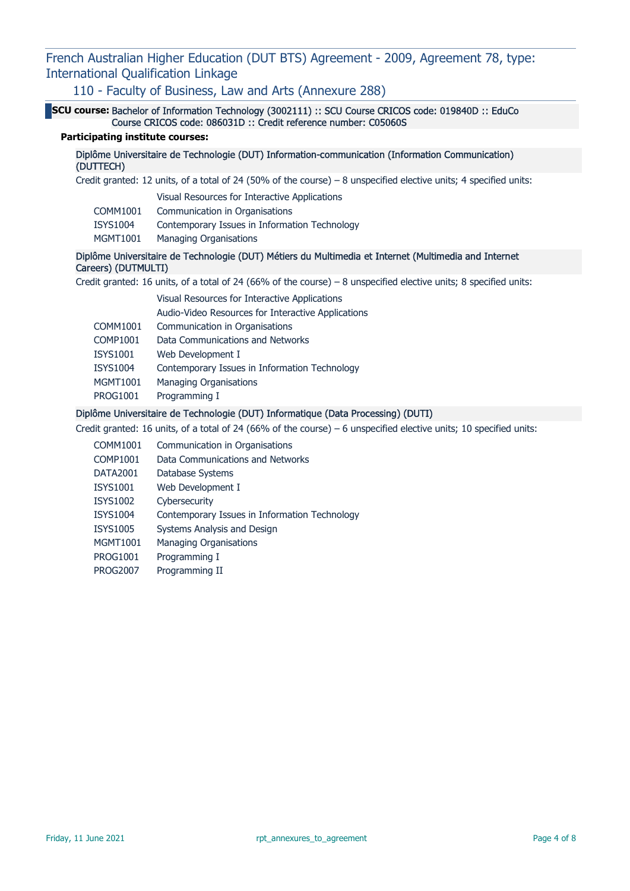110 - Faculty of Business, Law and Arts (Annexure 288)

SCU course: Bachelor of Information Technology (3002111) :: SCU Course CRICOS code: 019840D :: EduCo Course CRICOS code: 086031D :: Credit reference number: C05060S

# Participating institute courses:

## Diplôme Universitaire de Technologie (DUT) Information-communication (Information Communication) (DUTTECH)

Credit granted: 12 units, of a total of 24 (50% of the course) – 8 unspecified elective units; 4 specified units:

|          | Visual Resources for Interactive Applications |
|----------|-----------------------------------------------|
| COMM1001 | Communication in Organisations                |
| ISYS1004 | Contemporary Issues in Information Technology |
| MGMT1001 | <b>Managing Organisations</b>                 |

# Diplôme Universitaire de Technologie (DUT) Métiers du Multimedia et Internet (Multimedia and Internet Careers) (DUTMULTI)

Credit granted: 16 units, of a total of 24 (66% of the course) – 8 unspecified elective units; 8 specified units:

|                 | Visual Resources for Interactive Applications      |
|-----------------|----------------------------------------------------|
|                 | Audio-Video Resources for Interactive Applications |
| COMM1001        | Communication in Organisations                     |
| COMP1001        | Data Communications and Networks                   |
| ISYS1001        | Web Development I                                  |
| <b>ISYS1004</b> | Contemporary Issues in Information Technology      |
| MGMT1001        | <b>Managing Organisations</b>                      |
| <b>PROG1001</b> | Programming I                                      |

# Diplôme Universitaire de Technologie (DUT) Informatique (Data Processing) (DUTI)

Credit granted: 16 units, of a total of 24 (66% of the course) – 6 unspecified elective units; 10 specified units:

- COMM1001 Communication in Organisations
- COMP1001 Data Communications and Networks
- DATA2001 Database Systems
- ISYS1001 Web Development I
- ISYS1002 Cybersecurity
- ISYS1004 Contemporary Issues in Information Technology
- ISYS1005 Systems Analysis and Design
- MGMT1001 Managing Organisations
- PROG1001 Programming I
- PROG2007 Programming II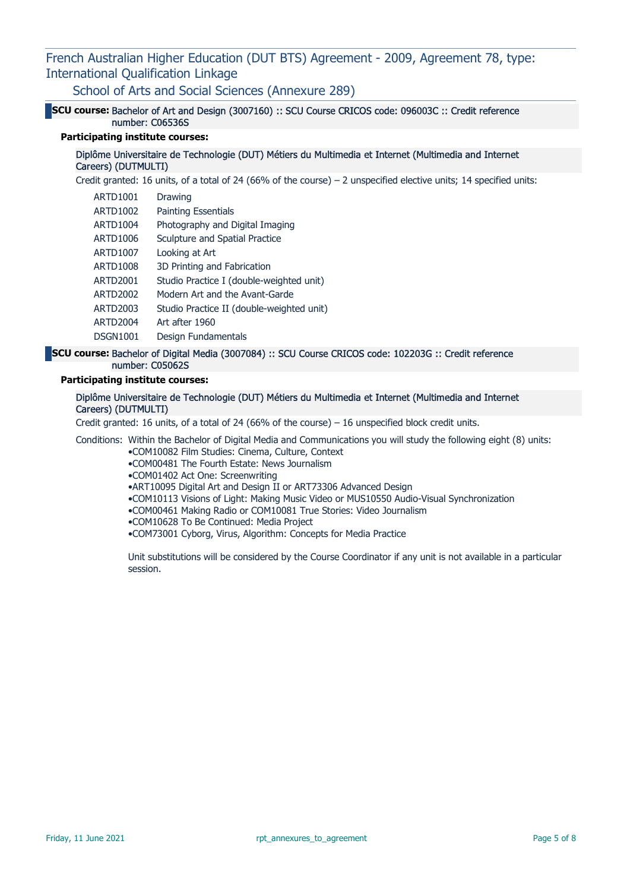School of Arts and Social Sciences (Annexure 289)

# SCU course: Bachelor of Art and Design (3007160) :: SCU Course CRICOS code: 096003C :: Credit reference number: C06536S

# Participating institute courses:

#### Diplôme Universitaire de Technologie (DUT) Métiers du Multimedia et Internet (Multimedia and Internet Careers) (DUTMULTI)

Credit granted: 16 units, of a total of 24 (66% of the course) – 2 unspecified elective units; 14 specified units:

| <b>ARTD1001</b> | Drawing                                   |
|-----------------|-------------------------------------------|
| ARTD1002        | <b>Painting Essentials</b>                |
| <b>ARTD1004</b> | Photography and Digital Imaging           |
| ARTD1006        | Sculpture and Spatial Practice            |
| <b>ARTD1007</b> | Looking at Art                            |
| <b>ARTD1008</b> | 3D Printing and Fabrication               |
| <b>ARTD2001</b> | Studio Practice I (double-weighted unit)  |
| <b>ARTD2002</b> | Modern Art and the Avant-Garde            |
| ARTD2003        | Studio Practice II (double-weighted unit) |
| ARTD2004        | Art after 1960                            |
| <b>DSGN1001</b> | Design Fundamentals                       |

## SCU course: Bachelor of Digital Media (3007084) :: SCU Course CRICOS code: 102203G :: Credit reference number: C05062S

#### Participating institute courses:

## Diplôme Universitaire de Technologie (DUT) Métiers du Multimedia et Internet (Multimedia and Internet Careers) (DUTMULTI)

Credit granted: 16 units, of a total of 24 (66% of the course) – 16 unspecified block credit units.

Conditions: Within the Bachelor of Digital Media and Communications you will study the following eight (8) units:

- •COM10082 Film Studies: Cinema, Culture, Context
- •COM00481 The Fourth Estate: News Journalism
- •COM01402 Act One: Screenwriting

•ART10095 Digital Art and Design II or ART73306 Advanced Design

- •COM10113 Visions of Light: Making Music Video or MUS10550 Audio-Visual Synchronization
- •COM00461 Making Radio or COM10081 True Stories: Video Journalism
- •COM10628 To Be Continued: Media Project
- •COM73001 Cyborg, Virus, Algorithm: Concepts for Media Practice

Unit substitutions will be considered by the Course Coordinator if any unit is not available in a particular session.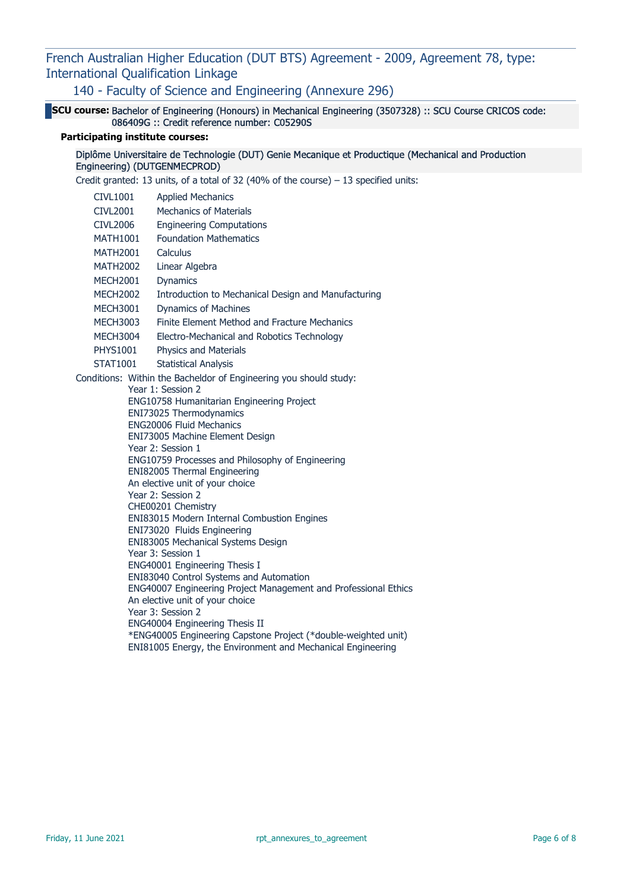140 - Faculty of Science and Engineering (Annexure 296)

SCU course: Bachelor of Engineering (Honours) in Mechanical Engineering (3507328) :: SCU Course CRICOS code: 086409G :: Credit reference number: C05290S

# Participating institute courses:

Diplôme Universitaire de Technologie (DUT) Genie Mecanique et Productique (Mechanical and Production Engineering) (DUTGENMECPROD)

Credit granted: 13 units, of a total of 32 (40% of the course)  $-13$  specified units:

| <b>CIVL1001</b> | <b>Applied Mechanics</b>                                                   |
|-----------------|----------------------------------------------------------------------------|
| <b>CIVL2001</b> | <b>Mechanics of Materials</b>                                              |
| <b>CIVL2006</b> | <b>Engineering Computations</b>                                            |
| <b>MATH1001</b> | <b>Foundation Mathematics</b>                                              |
| <b>MATH2001</b> | Calculus                                                                   |
| <b>MATH2002</b> | Linear Algebra                                                             |
| <b>MECH2001</b> | <b>Dynamics</b>                                                            |
| <b>MECH2002</b> | Introduction to Mechanical Design and Manufacturing                        |
| <b>MECH3001</b> | <b>Dynamics of Machines</b>                                                |
| <b>MECH3003</b> | Finite Element Method and Fracture Mechanics                               |
| <b>MECH3004</b> | Electro-Mechanical and Robotics Technology                                 |
| <b>PHYS1001</b> | Physics and Materials                                                      |
| <b>STAT1001</b> | <b>Statistical Analysis</b>                                                |
|                 | Conditions: Within the Bacheldor of Engineering you should study:          |
|                 | Year 1: Session 2                                                          |
|                 | ENG10758 Humanitarian Engineering Project                                  |
|                 | ENI73025 Thermodynamics                                                    |
|                 | <b>ENG20006 Fluid Mechanics</b><br>ENI73005 Machine Element Design         |
|                 | Year 2: Session 1                                                          |
|                 | ENG10759 Processes and Philosophy of Engineering                           |
|                 | ENI82005 Thermal Engineering                                               |
|                 | An elective unit of your choice                                            |
|                 | Year 2: Session 2                                                          |
|                 | CHE00201 Chemistry                                                         |
|                 | ENI83015 Modern Internal Combustion Engines<br>ENI73020 Fluids Engineering |
|                 | ENI83005 Mechanical Systems Design                                         |
|                 | Year 3: Session 1                                                          |
|                 | ENG40001 Engineering Thesis I                                              |
|                 | ENI83040 Control Systems and Automation                                    |
|                 | ENG40007 Engineering Project Management and Professional Ethics            |
|                 | An elective unit of your choice<br>Year 3: Session 2                       |
|                 | ENG40004 Engineering Thesis II                                             |
|                 | *ENG40005 Engineering Capstone Project (*double-weighted unit)             |
|                 | ENI81005 Energy, the Environment and Mechanical Engineering                |
|                 |                                                                            |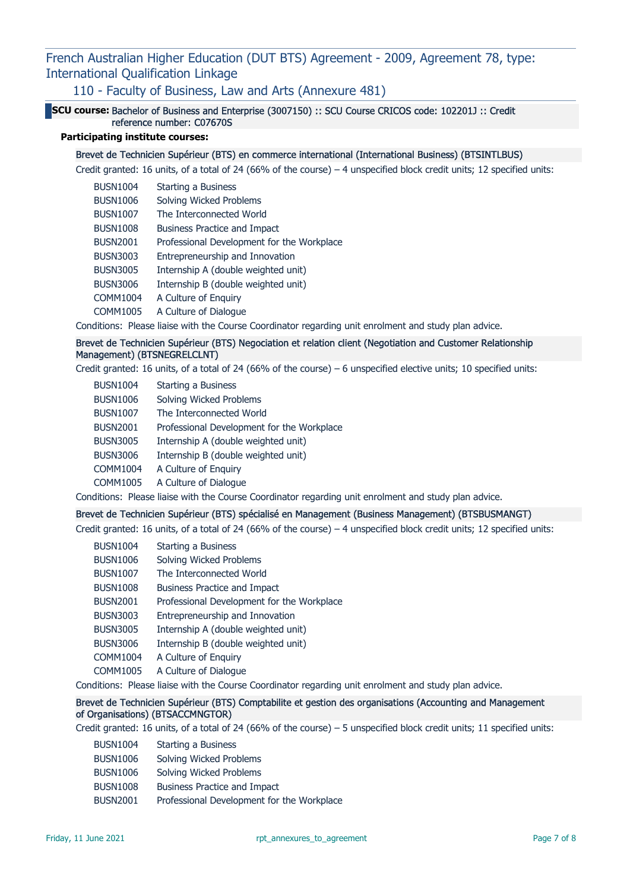110 - Faculty of Business, Law and Arts (Annexure 481)

SCU course: Bachelor of Business and Enterprise (3007150) :: SCU Course CRICOS code: 102201J :: Credit reference number: C07670S

# Participating institute courses:

#### Brevet de Technicien Supérieur (BTS) en commerce international (International Business) (BTSINTLBUS)

Credit granted: 16 units, of a total of 24 (66% of the course) – 4 unspecified block credit units; 12 specified units:

| <b>BUSN1004</b> | Starting a Business                        |
|-----------------|--------------------------------------------|
| <b>BUSN1006</b> | Solving Wicked Problems                    |
| <b>BUSN1007</b> | The Interconnected World                   |
| <b>BUSN1008</b> | <b>Business Practice and Impact</b>        |
| <b>BUSN2001</b> | Professional Development for the Workplace |
| <b>BUSN3003</b> | Entrepreneurship and Innovation            |
| <b>BUSN3005</b> | Internship A (double weighted unit)        |
| <b>BUSN3006</b> | Internship B (double weighted unit)        |
| <b>COMM1004</b> | A Culture of Enguiry                       |
| COMM1005        | A Culture of Dialogue                      |
|                 |                                            |

Conditions: Please liaise with the Course Coordinator regarding unit enrolment and study plan advice.

# Brevet de Technicien Supérieur (BTS) Negociation et relation client (Negotiation and Customer Relationship Management) (BTSNEGRELCLNT)

Credit granted: 16 units, of a total of 24 (66% of the course) – 6 unspecified elective units; 10 specified units:

| <b>BUSN1004</b> | Starting a Business                        |
|-----------------|--------------------------------------------|
| <b>BUSN1006</b> | Solving Wicked Problems                    |
| <b>BUSN1007</b> | The Interconnected World                   |
| <b>BUSN2001</b> | Professional Development for the Workplace |
| <b>BUSN3005</b> | Internship A (double weighted unit)        |
| <b>BUSN3006</b> | Internship B (double weighted unit)        |
| COMM1004        | A Culture of Enguiry                       |
| COMM1005        | A Culture of Dialoque                      |

Conditions: Please liaise with the Course Coordinator regarding unit enrolment and study plan advice.

#### Brevet de Technicien Supérieur (BTS) spécialisé en Management (Business Management) (BTSBUSMANGT)

Credit granted: 16 units, of a total of 24 (66% of the course) – 4 unspecified block credit units; 12 specified units:

- BUSN1004 Starting a Business
- BUSN1006 Solving Wicked Problems
- BUSN1007 The Interconnected World
- BUSN1008 Business Practice and Impact
- BUSN2001 Professional Development for the Workplace
- BUSN3003 Entrepreneurship and Innovation
- BUSN3005 Internship A (double weighted unit)
- BUSN3006 Internship B (double weighted unit)
- COMM1004 A Culture of Enquiry
- COMM1005 A Culture of Dialogue

Conditions: Please liaise with the Course Coordinator regarding unit enrolment and study plan advice.

# Brevet de Technicien Supérieur (BTS) Comptabilite et gestion des organisations (Accounting and Management of Organisations) (BTSACCMNGTOR)

Credit granted: 16 units, of a total of 24 (66% of the course) – 5 unspecified block credit units; 11 specified units:

BUSN1004 Starting a Business BUSN1006 Solving Wicked Problems BUSN1006 Solving Wicked Problems BUSN1008 Business Practice and Impact BUSN2001 Professional Development for the Workplace